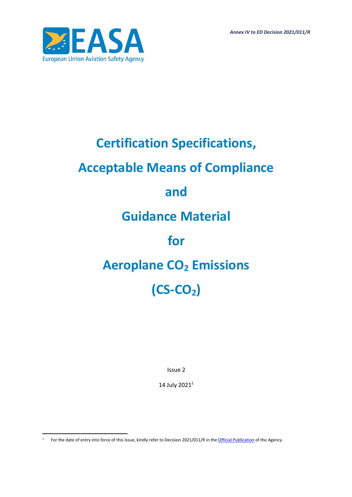*Annex IV to ED Decision 2021/011/R*



# **Certification Specifications,**

## **Acceptable Means of Compliance**

## **and**

## **Guidance Material**

## **for**

## **Aeroplane CO<sup>2</sup> Emissions**

# **(CS-CO2)**

Issue 2

14 July 2021<sup>1</sup>

<sup>&</sup>lt;sup>1</sup> For the date of entry into force of this Issue, kindly refer to Decision 2021/011/R in the [Official Publication](http://easa.europa.eu/official-publication/) of the Agency.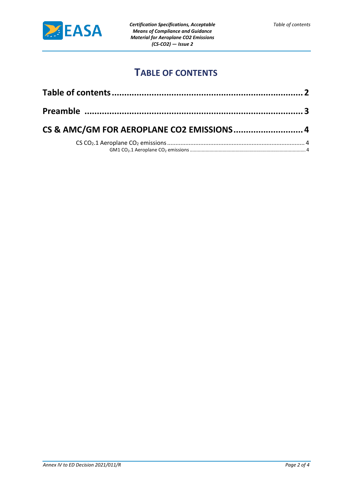

## **TABLE OF CONTENTS**

<span id="page-1-0"></span>

| CS & AMC/GM FOR AEROPLANE CO2 EMISSIONS 4 |  |
|-------------------------------------------|--|
|                                           |  |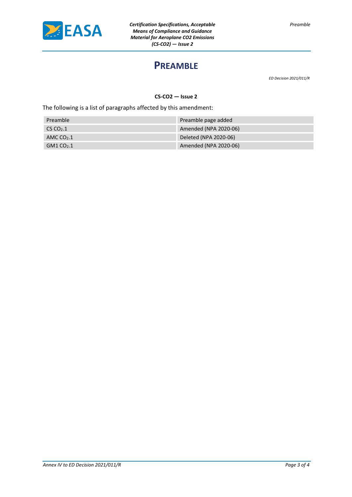<span id="page-2-0"></span>

### **PREAMBLE**

*ED Decision 2021/011/R*

*Preamble*

**CS-CO2 — Issue 2**

The following is a list of paragraphs affected by this amendment:

| Preamble     | Preamble page added   |
|--------------|-----------------------|
| $CS CO2$ .1  | Amended (NPA 2020-06) |
| AMC $CO2$ .1 | Deleted (NPA 2020-06) |
| $GM1 CO2$ .1 | Amended (NPA 2020-06) |